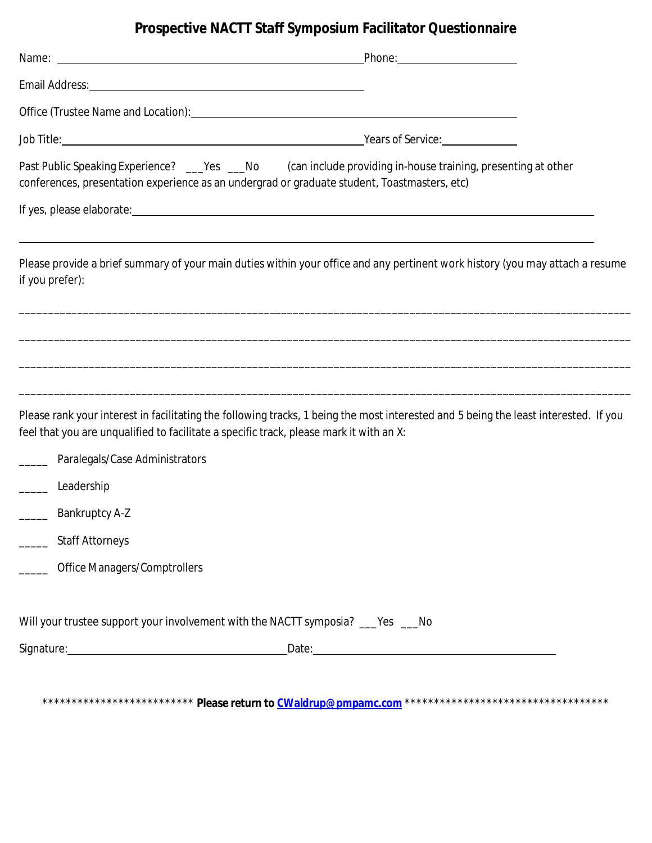## **Prospective NACTT Staff Symposium Facilitator Questionnaire**

|                                                                 | Phone: <u>with the state of the state of</u>                                                                                                                                                                                    |
|-----------------------------------------------------------------|---------------------------------------------------------------------------------------------------------------------------------------------------------------------------------------------------------------------------------|
|                                                                 |                                                                                                                                                                                                                                 |
|                                                                 |                                                                                                                                                                                                                                 |
|                                                                 |                                                                                                                                                                                                                                 |
|                                                                 | Past Public Speaking Experience? ___Yes ___No (can include providing in-house training, presenting at other<br>conferences, presentation experience as an undergrad or graduate student, Toastmasters, etc)                     |
|                                                                 | If yes, please elaborate: electronic and the set of the set of the set of the set of the set of the set of the                                                                                                                  |
| if you prefer):                                                 | Please provide a brief summary of your main duties within your office and any pertinent work history (you may attach a resume                                                                                                   |
|                                                                 |                                                                                                                                                                                                                                 |
|                                                                 |                                                                                                                                                                                                                                 |
|                                                                 |                                                                                                                                                                                                                                 |
|                                                                 | Please rank your interest in facilitating the following tracks, 1 being the most interested and 5 being the least interested. If you<br>feel that you are unqualified to facilitate a specific track, please mark it with an X: |
| Paralegals/Case Administrators                                  |                                                                                                                                                                                                                                 |
| Leadership                                                      |                                                                                                                                                                                                                                 |
| <b>Bankruptcy A-Z</b><br>$\mathcal{L}(\mathcal{L})$             |                                                                                                                                                                                                                                 |
| <b>Staff Attorneys</b><br>$\overline{\phantom{a}}$              |                                                                                                                                                                                                                                 |
| <b>Office Managers/Comptrollers</b><br>$\overline{\phantom{a}}$ |                                                                                                                                                                                                                                 |
|                                                                 | Will your trustee support your involvement with the NACTT symposia? ___Yes ___No                                                                                                                                                |
|                                                                 |                                                                                                                                                                                                                                 |
|                                                                 |                                                                                                                                                                                                                                 |
|                                                                 |                                                                                                                                                                                                                                 |